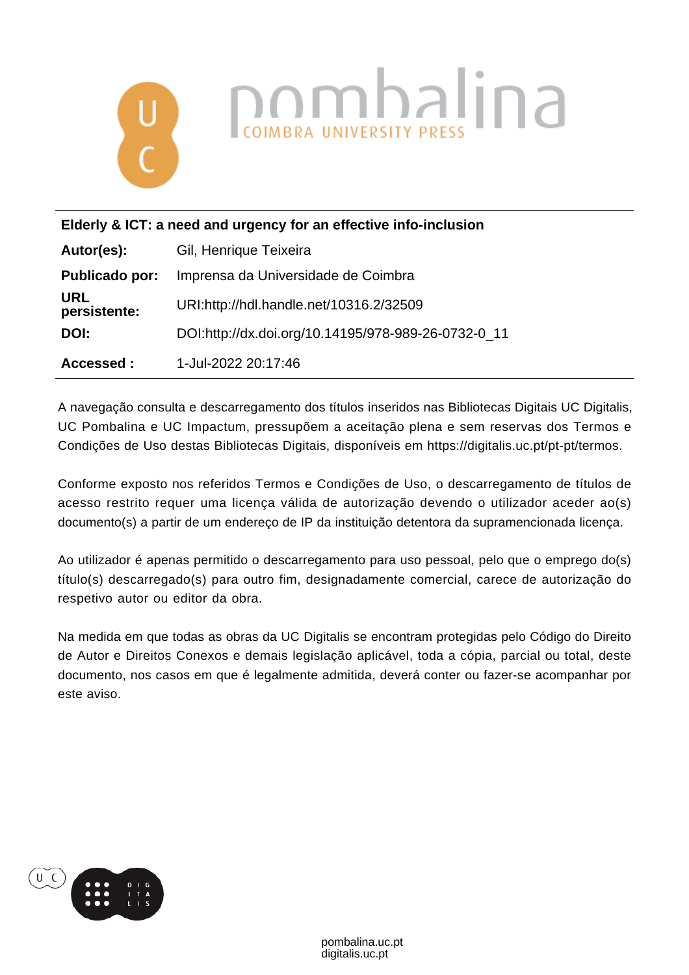

| Elderly & ICT: a need and urgency for an effective info-inclusion |                                                     |
|-------------------------------------------------------------------|-----------------------------------------------------|
| Autor(es):                                                        | Gil, Henrique Teixeira                              |
| <b>Publicado por:</b>                                             | Imprensa da Universidade de Coimbra                 |
| <b>URL</b><br>persistente:                                        | URI:http://hdl.handle.net/10316.2/32509             |
| DOI:                                                              | DOI:http://dx.doi.org/10.14195/978-989-26-0732-0_11 |
| Accessed:                                                         | 1-Jul-2022 20:17:46                                 |

A navegação consulta e descarregamento dos títulos inseridos nas Bibliotecas Digitais UC Digitalis, UC Pombalina e UC Impactum, pressupõem a aceitação plena e sem reservas dos Termos e Condições de Uso destas Bibliotecas Digitais, disponíveis em https://digitalis.uc.pt/pt-pt/termos.

Conforme exposto nos referidos Termos e Condições de Uso, o descarregamento de títulos de acesso restrito requer uma licença válida de autorização devendo o utilizador aceder ao(s) documento(s) a partir de um endereço de IP da instituição detentora da supramencionada licença.

Ao utilizador é apenas permitido o descarregamento para uso pessoal, pelo que o emprego do(s) título(s) descarregado(s) para outro fim, designadamente comercial, carece de autorização do respetivo autor ou editor da obra.

Na medida em que todas as obras da UC Digitalis se encontram protegidas pelo Código do Direito de Autor e Direitos Conexos e demais legislação aplicável, toda a cópia, parcial ou total, deste documento, nos casos em que é legalmente admitida, deverá conter ou fazer-se acompanhar por este aviso.

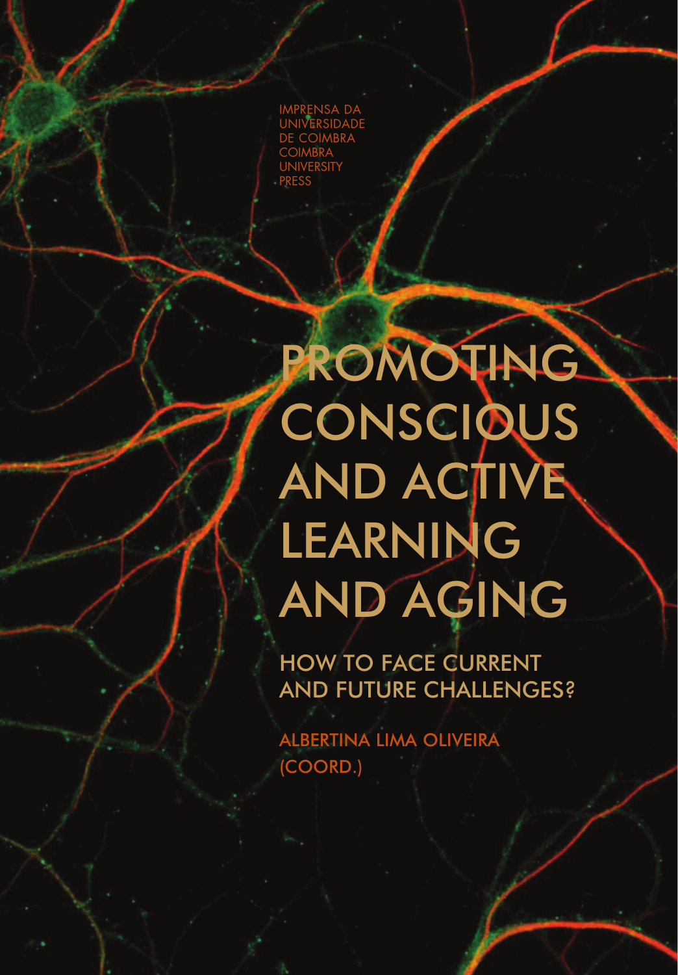IMPRENSA DA UNIVERSIDADE DE COIMBRA **COIMBRA UNIVERSITY** PRESS

# PROMOTING **CONSCIOUS** AND ACTIVE LEARNING AND AGING

HOW TO FACE CURRENT AND FUTURE CHALLENGES?

ALBERTINA LIMA OLIVEIRA (COORD.)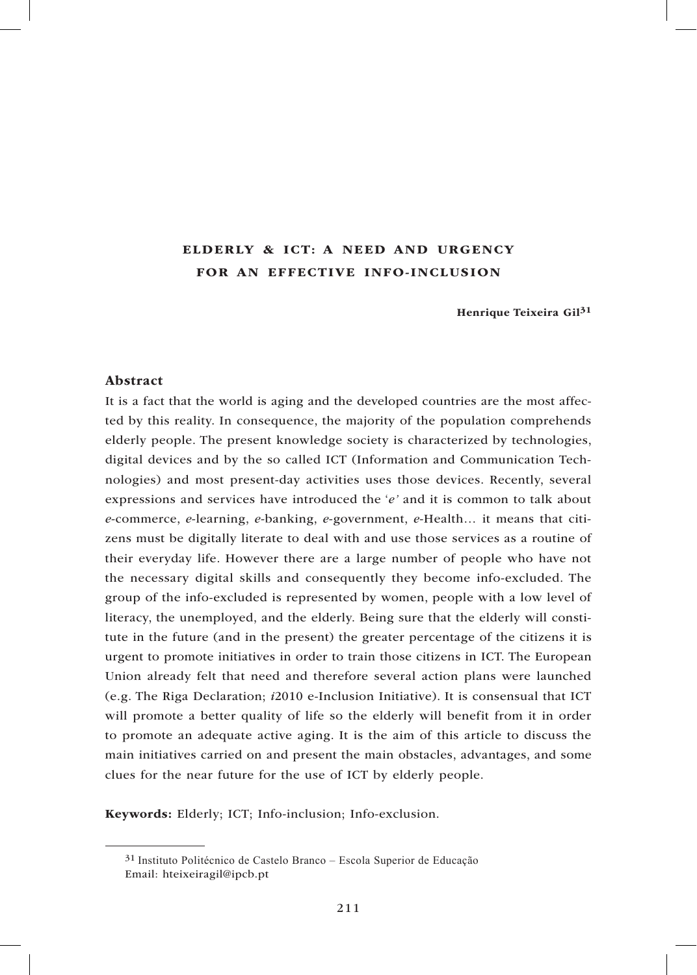## ELDERLY & ICT: A NEED AND URGENCY FOR AN EFFECTIVE INFO-INCLUSION

Henrique Teixeira Gil<sup>31</sup>

#### Abstract

It is a fact that the world is aging and the developed countries are the most affected by this reality. In consequence, the majority of the population comprehends elderly people. The present knowledge society is characterized by technologies, digital devices and by the so called ICT (Information and Communication Technologies) and most present-day activities uses those devices. Recently, several expressions and services have introduced the '*e'* and it is common to talk about *e*-commerce, *e*-learning, *e*-banking, *e*-government, *e*-Health… it means that citizens must be digitally literate to deal with and use those services as a routine of their everyday life. However there are a large number of people who have not the necessary digital skills and consequently they become info-excluded. The group of the info-excluded is represented by women, people with a low level of literacy, the unemployed, and the elderly. Being sure that the elderly will constitute in the future (and in the present) the greater percentage of the citizens it is urgent to promote initiatives in order to train those citizens in ICT. The European Union already felt that need and therefore several action plans were launched (e.g. The Riga Declaration; *i*2010 e-Inclusion Initiative). It is consensual that ICT will promote a better quality of life so the elderly will benefit from it in order to promote an adequate active aging. It is the aim of this article to discuss the main initiatives carried on and present the main obstacles, advantages, and some clues for the near future for the use of ICT by elderly people.

Keywords: Elderly; ICT; Info-inclusion; Info-exclusion.

<sup>31</sup> Instituto Politécnico de Castelo Branco – Escola Superior de Educação Email: hteixeiragil@ipcb.pt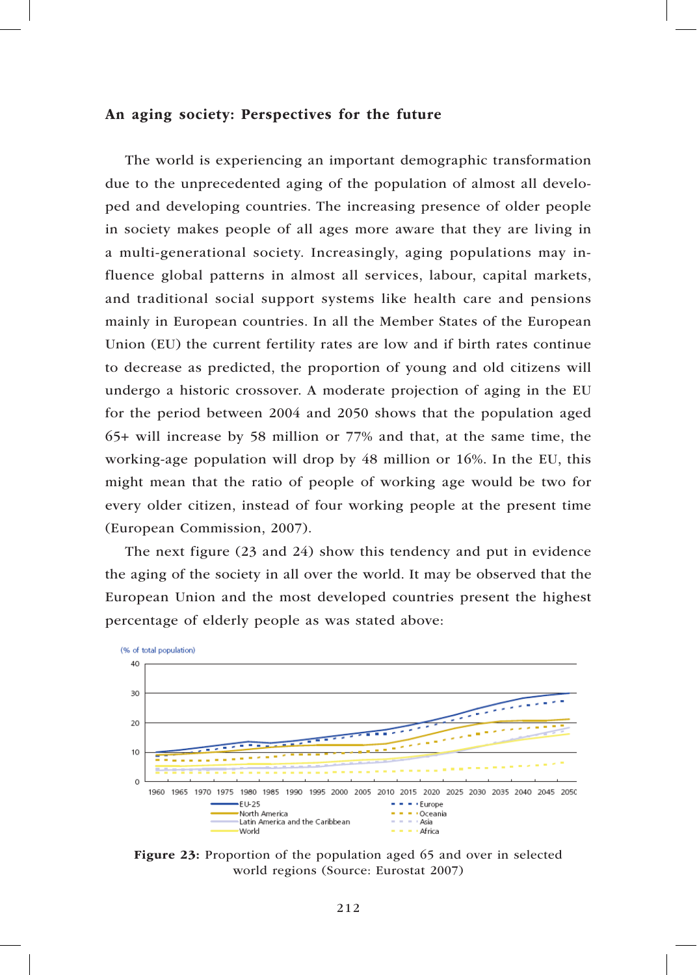#### An aging society: Perspectives for the future

The world is experiencing an important demographic transformation due to the unprecedented aging of the population of almost all developed and developing countries. The increasing presence of older people in society makes people of all ages more aware that they are living in a multi-generational society. Increasingly, aging populations may influence global patterns in almost all services, labour, capital markets, and traditional social support systems like health care and pensions mainly in European countries. In all the Member States of the European Union (EU) the current fertility rates are low and if birth rates continue to decrease as predicted, the proportion of young and old citizens will undergo a historic crossover. A moderate projection of aging in the EU for the period between 2004 and 2050 shows that the population aged 65+ will increase by 58 million or 77% and that, at the same time, the working-age population will drop by 48 million or 16%. In the EU, this might mean that the ratio of people of working age would be two for every older citizen, instead of four working people at the present time (European Commission, 2007).

The next figure (23 and 24) show this tendency and put in evidence the aging of the society in all over the world. It may be observed that the European Union and the most developed countries present the highest percentage of elderly people as was stated above:



Figure 23: Proportion of the population aged 65 and over in selected world regions (Source: Eurostat 2007)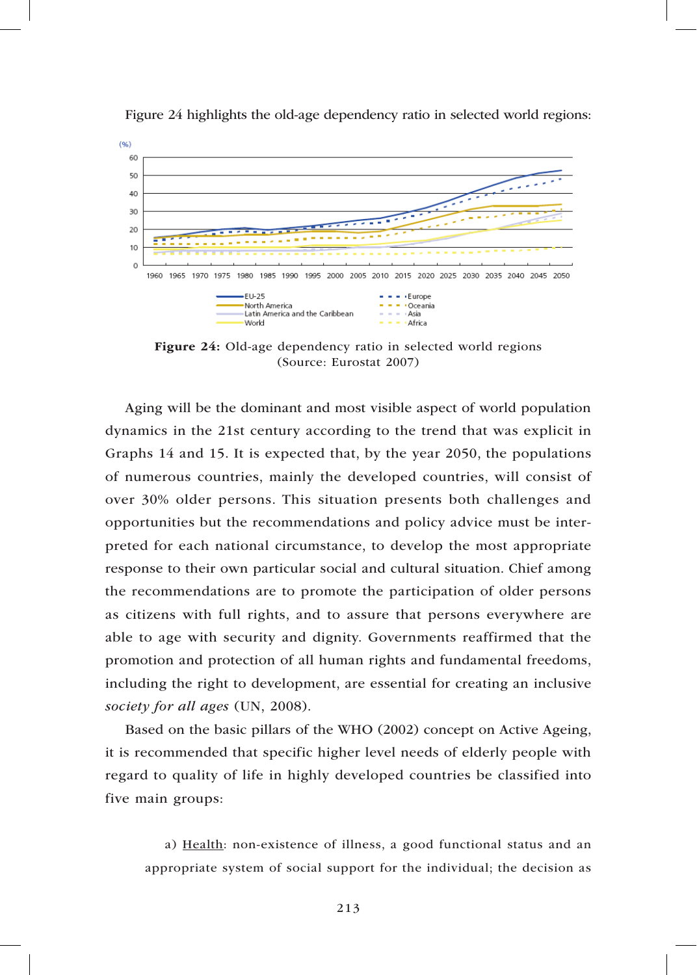

Figure 24 highlights the old-age dependency ratio in selected world regions:

Figure 24: Old-age dependency ratio in selected world regions (Source: Eurostat 2007)

Aging will be the dominant and most visible aspect of world population dynamics in the 21st century according to the trend that was explicit in Graphs 14 and 15. It is expected that, by the year 2050, the populations of numerous countries, mainly the developed countries, will consist of over 30% older persons. This situation presents both challenges and opportunities but the recommendations and policy advice must be interpreted for each national circumstance, to develop the most appropriate response to their own particular social and cultural situation. Chief among the recommendations are to promote the participation of older persons as citizens with full rights, and to assure that persons everywhere are able to age with security and dignity. Governments reaffirmed that the promotion and protection of all human rights and fundamental freedoms, including the right to development, are essential for creating an inclusive *society for all ages* (UN, 2008).

Based on the basic pillars of the WHO (2002) concept on Active Ageing, it is recommended that specific higher level needs of elderly people with regard to quality of life in highly developed countries be classified into five main groups:

a) Health: non-existence of illness, a good functional status and an appropriate system of social support for the individual; the decision as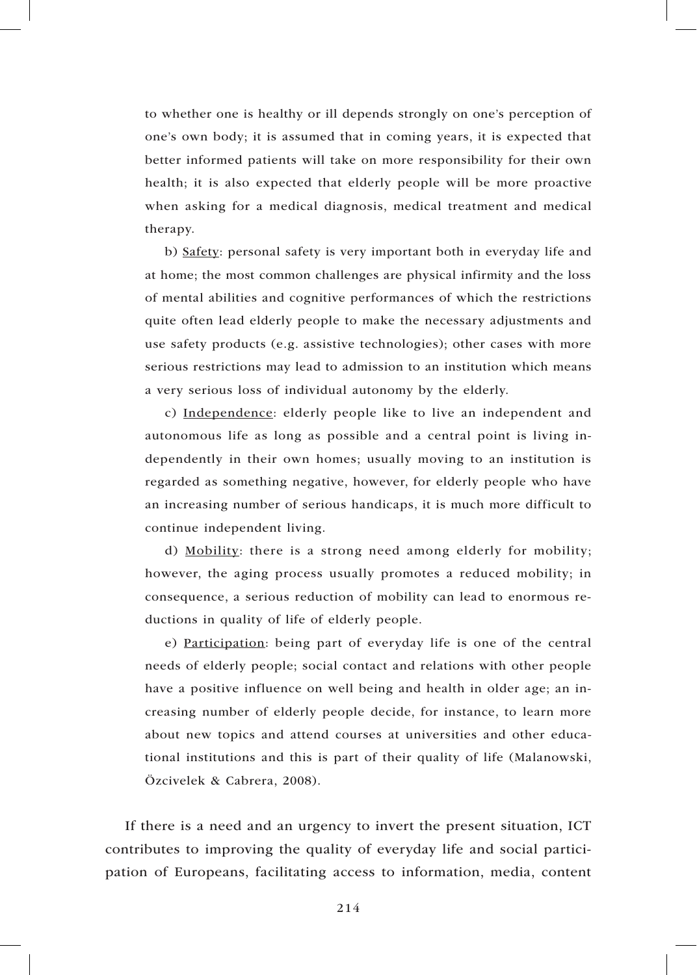to whether one is healthy or ill depends strongly on one's perception of one's own body; it is assumed that in coming years, it is expected that better informed patients will take on more responsibility for their own health; it is also expected that elderly people will be more proactive when asking for a medical diagnosis, medical treatment and medical therapy.

b) Safety: personal safety is very important both in everyday life and at home; the most common challenges are physical infirmity and the loss of mental abilities and cognitive performances of which the restrictions quite often lead elderly people to make the necessary adjustments and use safety products (e.g. assistive technologies); other cases with more serious restrictions may lead to admission to an institution which means a very serious loss of individual autonomy by the elderly.

c) Independence: elderly people like to live an independent and autonomous life as long as possible and a central point is living independently in their own homes; usually moving to an institution is regarded as something negative, however, for elderly people who have an increasing number of serious handicaps, it is much more difficult to continue independent living.

d) Mobility: there is a strong need among elderly for mobility; however, the aging process usually promotes a reduced mobility; in consequence, a serious reduction of mobility can lead to enormous reductions in quality of life of elderly people.

e) Participation: being part of everyday life is one of the central needs of elderly people; social contact and relations with other people have a positive influence on well being and health in older age; an increasing number of elderly people decide, for instance, to learn more about new topics and attend courses at universities and other educational institutions and this is part of their quality of life (Malanowski, Özcivelek & Cabrera, 2008).

If there is a need and an urgency to invert the present situation, ICT contributes to improving the quality of everyday life and social participation of Europeans, facilitating access to information, media, content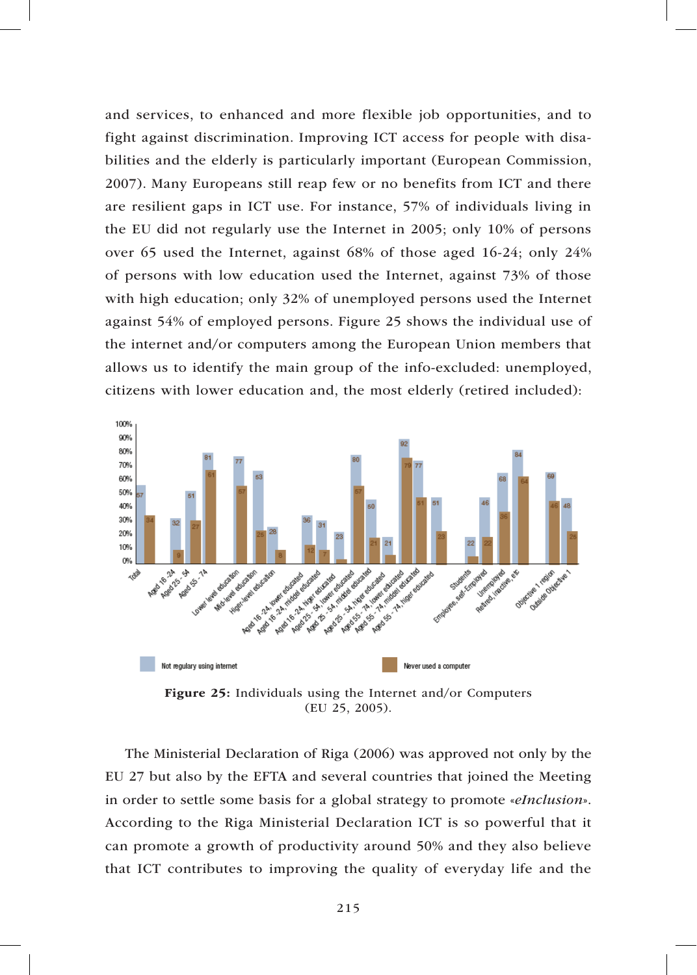and services, to enhanced and more flexible job opportunities, and to fight against discrimination. Improving ICT access for people with disabilities and the elderly is particularly important (European Commission, 2007). Many Europeans still reap few or no benefits from ICT and there are resilient gaps in ICT use. For instance, 57% of individuals living in the EU did not regularly use the Internet in 2005; only 10% of persons over 65 used the Internet, against 68% of those aged 16-24; only 24% of persons with low education used the Internet, against 73% of those with high education; only 32% of unemployed persons used the Internet against 54% of employed persons. Figure 25 shows the individual use of the internet and/or computers among the European Union members that allows us to identify the main group of the info-excluded: unemployed, citizens with lower education and, the most elderly (retired included):



Figure 25: Individuals using the Internet and/or Computers (EU 25, 2005).

The Ministerial Declaration of Riga (2006) was approved not only by the EU 27 but also by the EFTA and several countries that joined the Meeting in order to settle some basis for a global strategy to promote «*eInclusion*». According to the Riga Ministerial Declaration ICT is so powerful that it can promote a growth of productivity around 50% and they also believe that ICT contributes to improving the quality of everyday life and the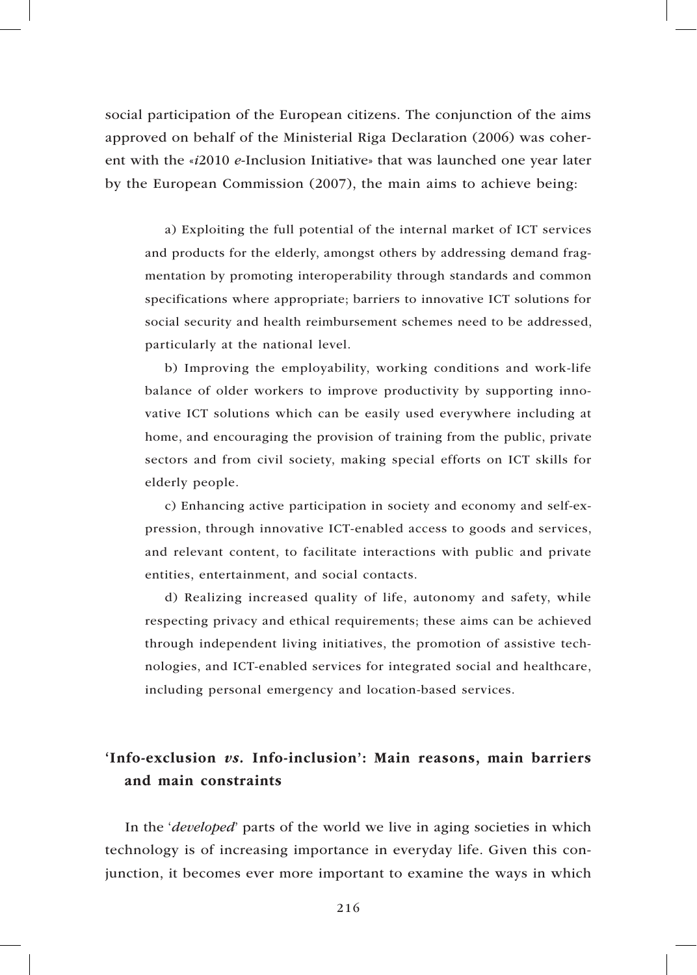social participation of the European citizens. The conjunction of the aims approved on behalf of the Ministerial Riga Declaration (2006) was coherent with the «*i*2010 *e*-Inclusion Initiative» that was launched one year later by the European Commission (2007), the main aims to achieve being:

a) Exploiting the full potential of the internal market of ICT services and products for the elderly, amongst others by addressing demand fragmentation by promoting interoperability through standards and common specifications where appropriate; barriers to innovative ICT solutions for social security and health reimbursement schemes need to be addressed, particularly at the national level.

b) Improving the employability, working conditions and work-life balance of older workers to improve productivity by supporting innovative ICT solutions which can be easily used everywhere including at home, and encouraging the provision of training from the public, private sectors and from civil society, making special efforts on ICT skills for elderly people.

c) Enhancing active participation in society and economy and self-expression, through innovative ICT-enabled access to goods and services, and relevant content, to facilitate interactions with public and private entities, entertainment, and social contacts.

d) Realizing increased quality of life, autonomy and safety, while respecting privacy and ethical requirements; these aims can be achieved through independent living initiatives, the promotion of assistive technologies, and ICT-enabled services for integrated social and healthcare, including personal emergency and location-based services.

# 'Info-exclusion *vs.* Info-inclusion': Main reasons, main barriers and main constraints

In the '*developed*' parts of the world we live in aging societies in which technology is of increasing importance in everyday life. Given this conjunction, it becomes ever more important to examine the ways in which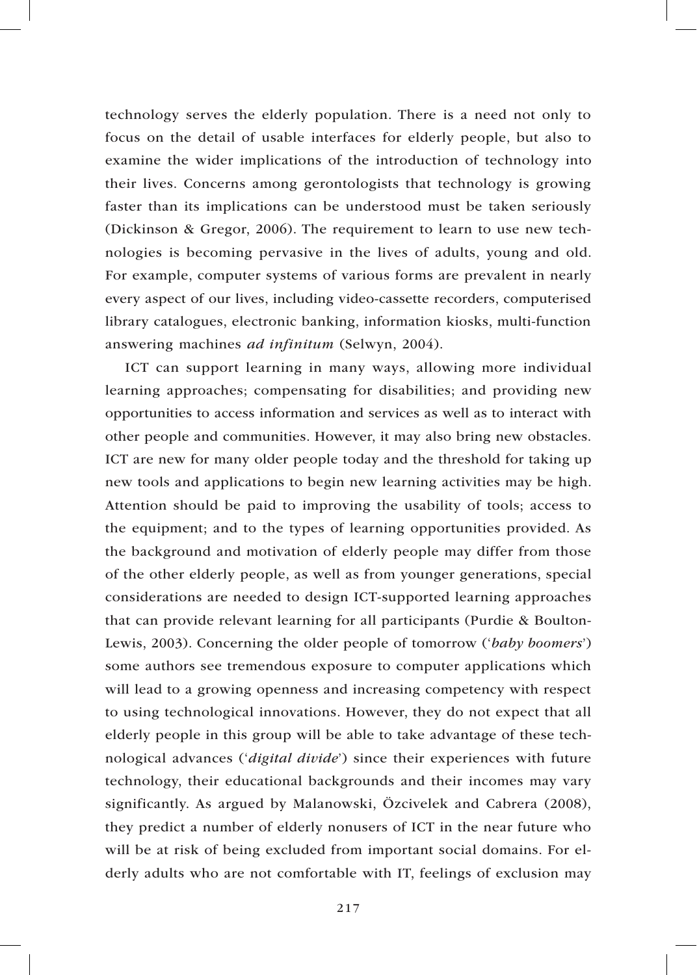technology serves the elderly population. There is a need not only to focus on the detail of usable interfaces for elderly people, but also to examine the wider implications of the introduction of technology into their lives. Concerns among gerontologists that technology is growing faster than its implications can be understood must be taken seriously (Dickinson & Gregor, 2006). The requirement to learn to use new technologies is becoming pervasive in the lives of adults, young and old. For example, computer systems of various forms are prevalent in nearly every aspect of our lives, including video-cassette recorders, computerised library catalogues, electronic banking, information kiosks, multi-function answering machines *ad infinitum* (Selwyn, 2004).

ICT can support learning in many ways, allowing more individual learning approaches; compensating for disabilities; and providing new opportunities to access information and services as well as to interact with other people and communities. However, it may also bring new obstacles. ICT are new for many older people today and the threshold for taking up new tools and applications to begin new learning activities may be high. Attention should be paid to improving the usability of tools; access to the equipment; and to the types of learning opportunities provided. As the background and motivation of elderly people may differ from those of the other elderly people, as well as from younger generations, special considerations are needed to design ICT-supported learning approaches that can provide relevant learning for all participants (Purdie & Boulton-Lewis, 2003). Concerning the older people of tomorrow ('*baby boomers*') some authors see tremendous exposure to computer applications which will lead to a growing openness and increasing competency with respect to using technological innovations. However, they do not expect that all elderly people in this group will be able to take advantage of these technological advances ('*digital divide*') since their experiences with future technology, their educational backgrounds and their incomes may vary significantly. As argued by Malanowski, Özcivelek and Cabrera (2008), they predict a number of elderly nonusers of ICT in the near future who will be at risk of being excluded from important social domains. For elderly adults who are not comfortable with IT, feelings of exclusion may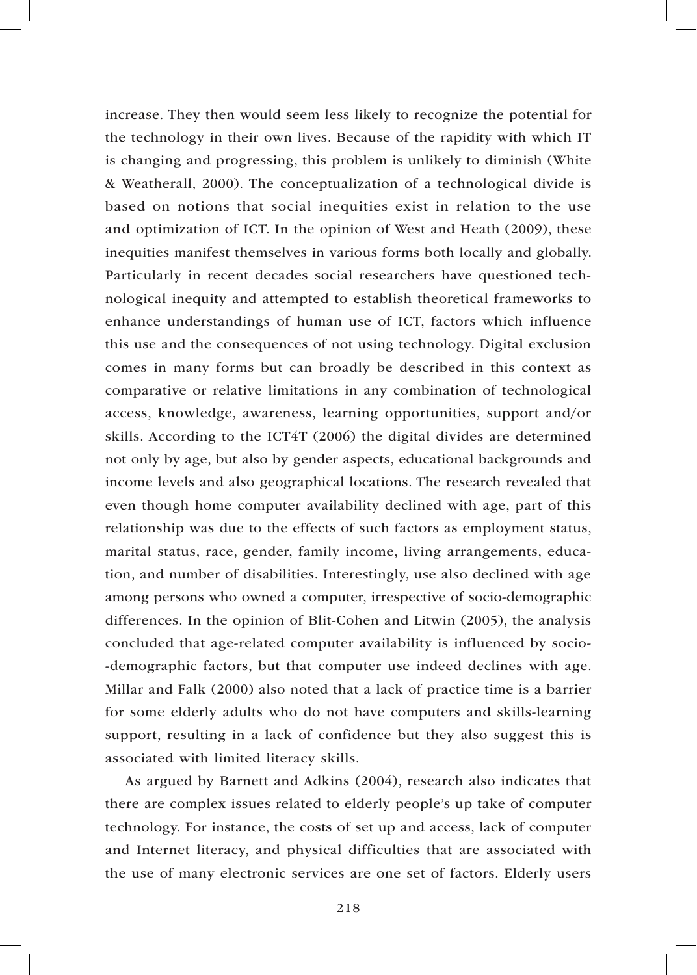increase. They then would seem less likely to recognize the potential for the technology in their own lives. Because of the rapidity with which IT is changing and progressing, this problem is unlikely to diminish (White & Weatherall, 2000). The conceptualization of a technological divide is based on notions that social inequities exist in relation to the use and optimization of ICT. In the opinion of West and Heath (2009), these inequities manifest themselves in various forms both locally and globally. Particularly in recent decades social researchers have questioned technological inequity and attempted to establish theoretical frameworks to enhance understandings of human use of ICT, factors which influence this use and the consequences of not using technology. Digital exclusion comes in many forms but can broadly be described in this context as comparative or relative limitations in any combination of technological access, knowledge, awareness, learning opportunities, support and/or skills. According to the ICT4T (2006) the digital divides are determined not only by age, but also by gender aspects, educational backgrounds and income levels and also geographical locations. The research revealed that even though home computer availability declined with age, part of this relationship was due to the effects of such factors as employment status, marital status, race, gender, family income, living arrangements, education, and number of disabilities. Interestingly, use also declined with age among persons who owned a computer, irrespective of socio-demographic differences. In the opinion of Blit-Cohen and Litwin (2005), the analysis concluded that age-related computer availability is influenced by socio- -demographic factors, but that computer use indeed declines with age. Millar and Falk (2000) also noted that a lack of practice time is a barrier for some elderly adults who do not have computers and skills-learning support, resulting in a lack of confidence but they also suggest this is associated with limited literacy skills.

As argued by Barnett and Adkins (2004), research also indicates that there are complex issues related to elderly people's up take of computer technology. For instance, the costs of set up and access, lack of computer and Internet literacy, and physical difficulties that are associated with the use of many electronic services are one set of factors. Elderly users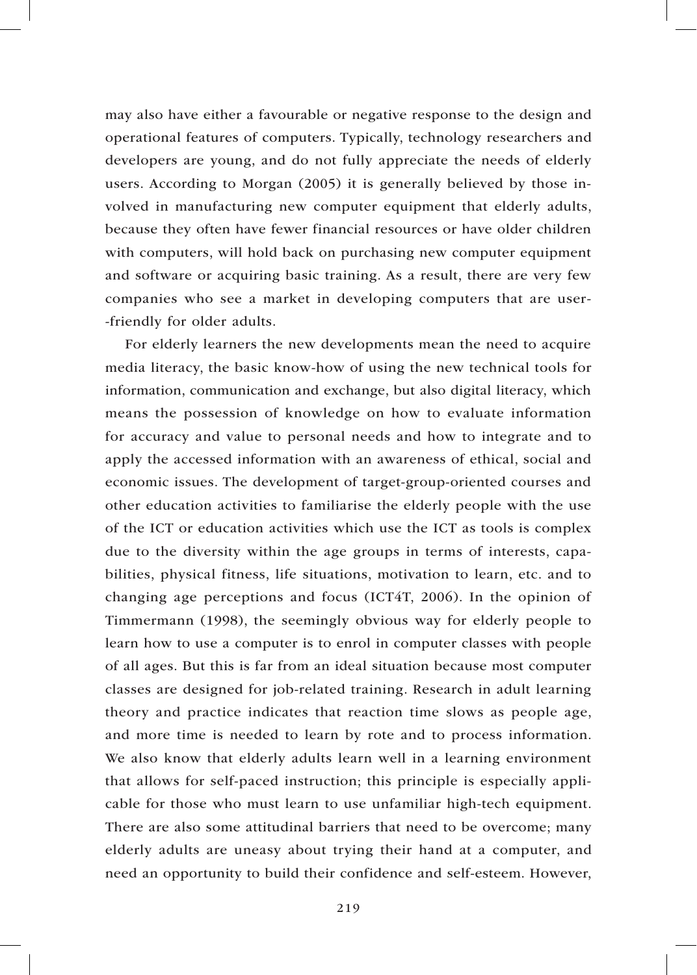may also have either a favourable or negative response to the design and operational features of computers. Typically, technology researchers and developers are young, and do not fully appreciate the needs of elderly users. According to Morgan (2005) it is generally believed by those involved in manufacturing new computer equipment that elderly adults, because they often have fewer financial resources or have older children with computers, will hold back on purchasing new computer equipment and software or acquiring basic training. As a result, there are very few companies who see a market in developing computers that are user- -friendly for older adults.

For elderly learners the new developments mean the need to acquire media literacy, the basic know-how of using the new technical tools for information, communication and exchange, but also digital literacy, which means the possession of knowledge on how to evaluate information for accuracy and value to personal needs and how to integrate and to apply the accessed information with an awareness of ethical, social and economic issues. The development of target-group-oriented courses and other education activities to familiarise the elderly people with the use of the ICT or education activities which use the ICT as tools is complex due to the diversity within the age groups in terms of interests, capabilities, physical fitness, life situations, motivation to learn, etc. and to changing age perceptions and focus (ICT4T, 2006). In the opinion of Timmermann (1998), the seemingly obvious way for elderly people to learn how to use a computer is to enrol in computer classes with people of all ages. But this is far from an ideal situation because most computer classes are designed for job-related training. Research in adult learning theory and practice indicates that reaction time slows as people age, and more time is needed to learn by rote and to process information. We also know that elderly adults learn well in a learning environment that allows for self-paced instruction; this principle is especially applicable for those who must learn to use unfamiliar high-tech equipment. There are also some attitudinal barriers that need to be overcome; many elderly adults are uneasy about trying their hand at a computer, and need an opportunity to build their confidence and self-esteem. However,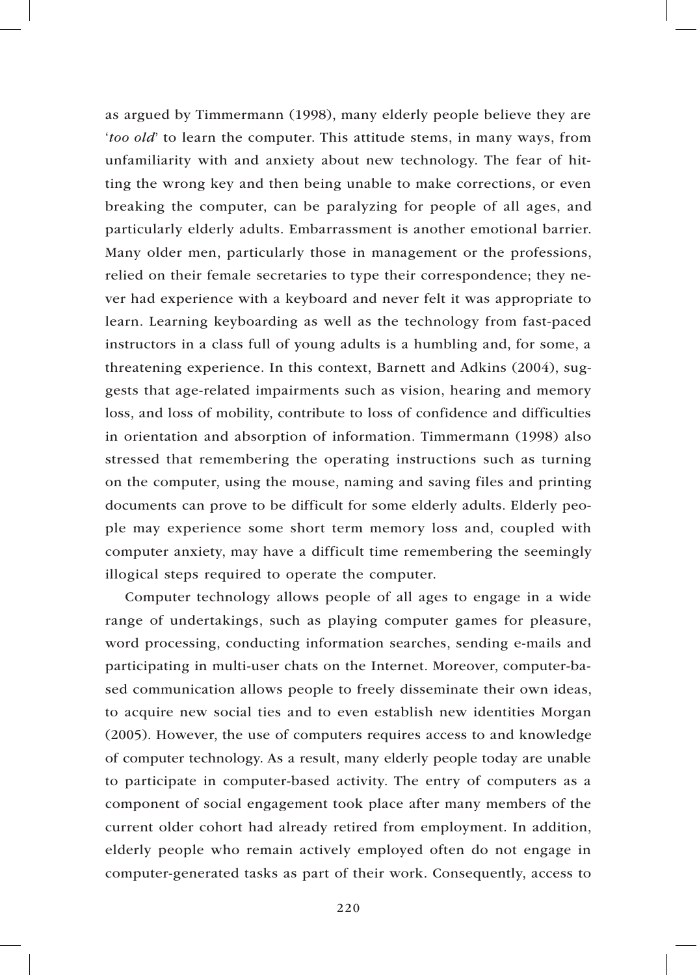as argued by Timmermann (1998), many elderly people believe they are '*too old*' to learn the computer. This attitude stems, in many ways, from unfamiliarity with and anxiety about new technology. The fear of hitting the wrong key and then being unable to make corrections, or even breaking the computer, can be paralyzing for people of all ages, and particularly elderly adults. Embarrassment is another emotional barrier. Many older men, particularly those in management or the professions, relied on their female secretaries to type their correspondence; they never had experience with a keyboard and never felt it was appropriate to learn. Learning keyboarding as well as the technology from fast-paced instructors in a class full of young adults is a humbling and, for some, a threatening experience. In this context, Barnett and Adkins (2004), suggests that age-related impairments such as vision, hearing and memory loss, and loss of mobility, contribute to loss of confidence and difficulties in orientation and absorption of information. Timmermann (1998) also stressed that remembering the operating instructions such as turning on the computer, using the mouse, naming and saving files and printing documents can prove to be difficult for some elderly adults. Elderly people may experience some short term memory loss and, coupled with computer anxiety, may have a difficult time remembering the seemingly illogical steps required to operate the computer.

Computer technology allows people of all ages to engage in a wide range of undertakings, such as playing computer games for pleasure, word processing, conducting information searches, sending e-mails and participating in multi-user chats on the Internet. Moreover, computer-based communication allows people to freely disseminate their own ideas, to acquire new social ties and to even establish new identities Morgan (2005). However, the use of computers requires access to and knowledge of computer technology. As a result, many elderly people today are unable to participate in computer-based activity. The entry of computers as a component of social engagement took place after many members of the current older cohort had already retired from employment. In addition, elderly people who remain actively employed often do not engage in computer-generated tasks as part of their work. Consequently, access to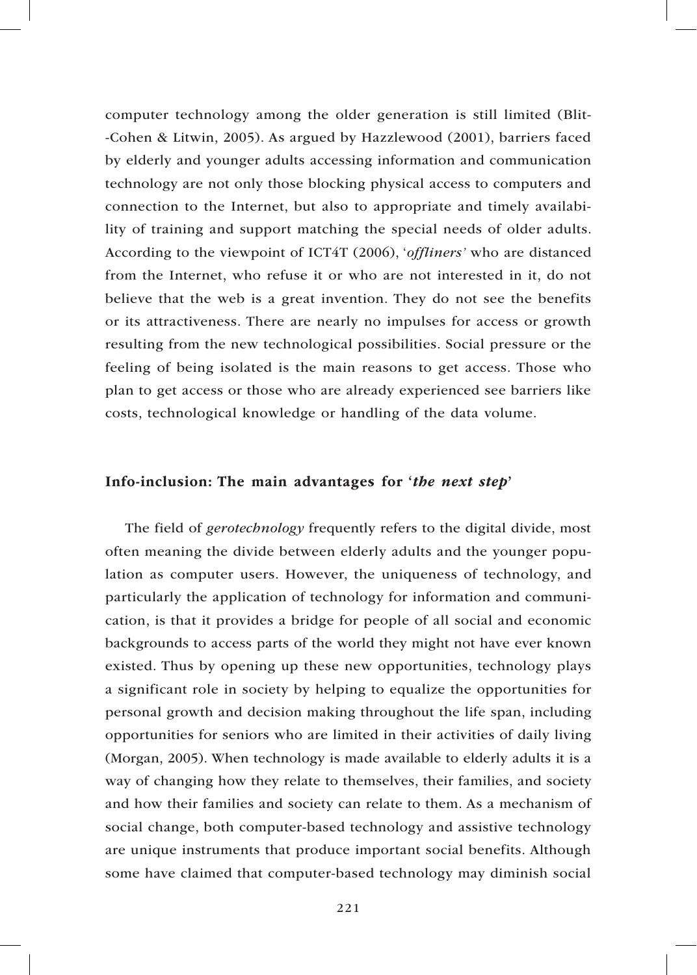computer technology among the older generation is still limited (Blit- -Cohen & Litwin, 2005). As argued by Hazzlewood (2001), barriers faced by elderly and younger adults accessing information and communication technology are not only those blocking physical access to computers and connection to the Internet, but also to appropriate and timely availability of training and support matching the special needs of older adults. According to the viewpoint of ICT4T (2006), '*offliners'* who are distanced from the Internet, who refuse it or who are not interested in it, do not believe that the web is a great invention. They do not see the benefits or its attractiveness. There are nearly no impulses for access or growth resulting from the new technological possibilities. Social pressure or the feeling of being isolated is the main reasons to get access. Those who plan to get access or those who are already experienced see barriers like costs, technological knowledge or handling of the data volume.

### Info-inclusion: The main advantages for '*the next step*'

The field of *gerotechnology* frequently refers to the digital divide, most often meaning the divide between elderly adults and the younger population as computer users. However, the uniqueness of technology, and particularly the application of technology for information and communication, is that it provides a bridge for people of all social and economic backgrounds to access parts of the world they might not have ever known existed. Thus by opening up these new opportunities, technology plays a significant role in society by helping to equalize the opportunities for personal growth and decision making throughout the life span, including opportunities for seniors who are limited in their activities of daily living (Morgan, 2005). When technology is made available to elderly adults it is a way of changing how they relate to themselves, their families, and society and how their families and society can relate to them. As a mechanism of social change, both computer-based technology and assistive technology are unique instruments that produce important social benefits. Although some have claimed that computer-based technology may diminish social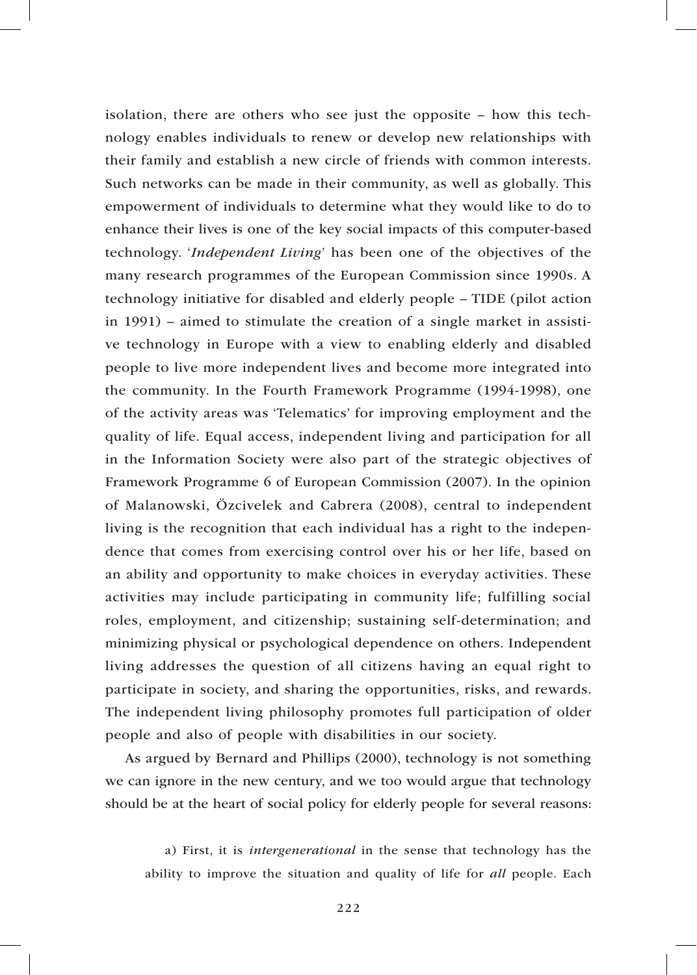isolation, there are others who see just the opposite – how this technology enables individuals to renew or develop new relationships with their family and establish a new circle of friends with common interests. Such networks can be made in their community, as well as globally. This empowerment of individuals to determine what they would like to do to enhance their lives is one of the key social impacts of this computer-based technology. '*Independent Living*' has been one of the objectives of the many research programmes of the European Commission since 1990s. A technology initiative for disabled and elderly people – TIDE (pilot action in 1991) – aimed to stimulate the creation of a single market in assistive technology in Europe with a view to enabling elderly and disabled people to live more independent lives and become more integrated into the community. In the Fourth Framework Programme (1994-1998), one of the activity areas was 'Telematics' for improving employment and the quality of life. Equal access, independent living and participation for all in the Information Society were also part of the strategic objectives of Framework Programme 6 of European Commission (2007). In the opinion of Malanowski, Özcivelek and Cabrera (2008), central to independent living is the recognition that each individual has a right to the independence that comes from exercising control over his or her life, based on an ability and opportunity to make choices in everyday activities. These activities may include participating in community life; fulfilling social roles, employment, and citizenship; sustaining self-determination; and minimizing physical or psychological dependence on others. Independent living addresses the question of all citizens having an equal right to participate in society, and sharing the opportunities, risks, and rewards. The independent living philosophy promotes full participation of older people and also of people with disabilities in our society.

As argued by Bernard and Phillips (2000), technology is not something we can ignore in the new century, and we too would argue that technology should be at the heart of social policy for elderly people for several reasons:

a) First, it is *intergenerational* in the sense that technology has the ability to improve the situation and quality of life for *all* people. Each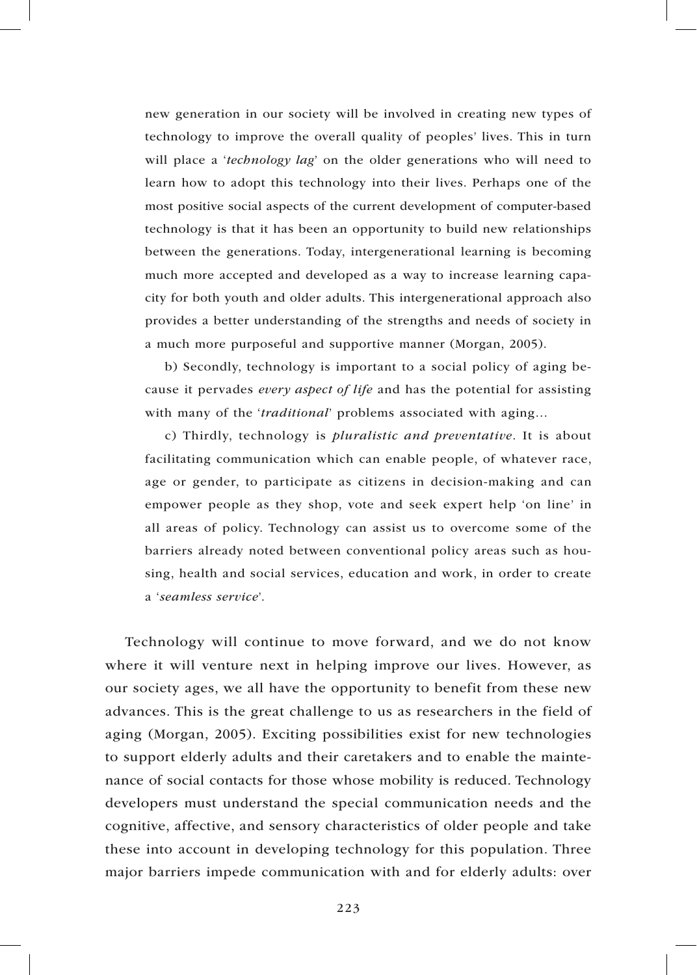new generation in our society will be involved in creating new types of technology to improve the overall quality of peoples' lives. This in turn will place a '*technology lag*' on the older generations who will need to learn how to adopt this technology into their lives. Perhaps one of the most positive social aspects of the current development of computer-based technology is that it has been an opportunity to build new relationships between the generations. Today, intergenerational learning is becoming much more accepted and developed as a way to increase learning capacity for both youth and older adults. This intergenerational approach also provides a better understanding of the strengths and needs of society in a much more purposeful and supportive manner (Morgan, 2005).

b) Secondly, technology is important to a social policy of aging because it pervades *every aspect of life* and has the potential for assisting with many of the '*traditional*' problems associated with aging…

c) Thirdly, technology is *pluralistic and preventative*. It is about facilitating communication which can enable people, of whatever race, age or gender, to participate as citizens in decision-making and can empower people as they shop, vote and seek expert help 'on line' in all areas of policy. Technology can assist us to overcome some of the barriers already noted between conventional policy areas such as housing, health and social services, education and work, in order to create a '*seamless service*'.

Technology will continue to move forward, and we do not know where it will venture next in helping improve our lives. However, as our society ages, we all have the opportunity to benefit from these new advances. This is the great challenge to us as researchers in the field of aging (Morgan, 2005). Exciting possibilities exist for new technologies to support elderly adults and their caretakers and to enable the maintenance of social contacts for those whose mobility is reduced. Technology developers must understand the special communication needs and the cognitive, affective, and sensory characteristics of older people and take these into account in developing technology for this population. Three major barriers impede communication with and for elderly adults: over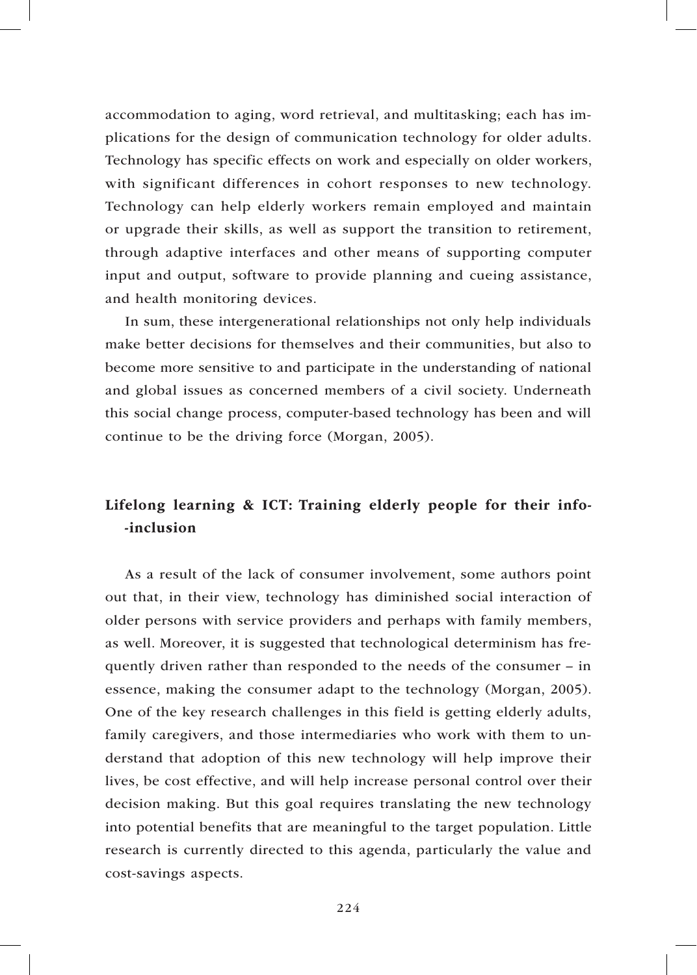accommodation to aging, word retrieval, and multitasking; each has implications for the design of communication technology for older adults. Technology has specific effects on work and especially on older workers, with significant differences in cohort responses to new technology. Technology can help elderly workers remain employed and maintain or upgrade their skills, as well as support the transition to retirement, through adaptive interfaces and other means of supporting computer input and output, software to provide planning and cueing assistance, and health monitoring devices.

In sum, these intergenerational relationships not only help individuals make better decisions for themselves and their communities, but also to become more sensitive to and participate in the understanding of national and global issues as concerned members of a civil society. Underneath this social change process, computer-based technology has been and will continue to be the driving force (Morgan, 2005).

# Lifelong learning & ICT: Training elderly people for their info- -inclusion

As a result of the lack of consumer involvement, some authors point out that, in their view, technology has diminished social interaction of older persons with service providers and perhaps with family members, as well. Moreover, it is suggested that technological determinism has frequently driven rather than responded to the needs of the consumer – in essence, making the consumer adapt to the technology (Morgan, 2005). One of the key research challenges in this field is getting elderly adults, family caregivers, and those intermediaries who work with them to understand that adoption of this new technology will help improve their lives, be cost effective, and will help increase personal control over their decision making. But this goal requires translating the new technology into potential benefits that are meaningful to the target population. Little research is currently directed to this agenda, particularly the value and cost-savings aspects.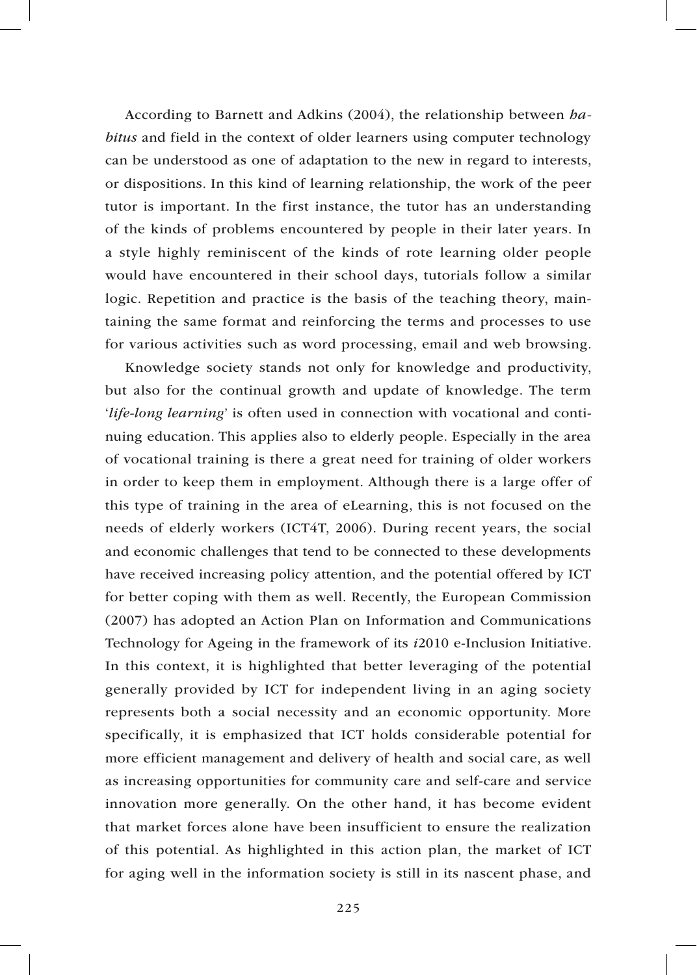According to Barnett and Adkins (2004), the relationship between *habitus* and field in the context of older learners using computer technology can be understood as one of adaptation to the new in regard to interests, or dispositions. In this kind of learning relationship, the work of the peer tutor is important. In the first instance, the tutor has an understanding of the kinds of problems encountered by people in their later years. In a style highly reminiscent of the kinds of rote learning older people would have encountered in their school days, tutorials follow a similar logic. Repetition and practice is the basis of the teaching theory, maintaining the same format and reinforcing the terms and processes to use for various activities such as word processing, email and web browsing.

Knowledge society stands not only for knowledge and productivity, but also for the continual growth and update of knowledge. The term '*life-long learning*' is often used in connection with vocational and continuing education. This applies also to elderly people. Especially in the area of vocational training is there a great need for training of older workers in order to keep them in employment. Although there is a large offer of this type of training in the area of eLearning, this is not focused on the needs of elderly workers (ICT4T, 2006). During recent years, the social and economic challenges that tend to be connected to these developments have received increasing policy attention, and the potential offered by ICT for better coping with them as well. Recently, the European Commission (2007) has adopted an Action Plan on Information and Communications Technology for Ageing in the framework of its *i*2010 e-Inclusion Initiative. In this context, it is highlighted that better leveraging of the potential generally provided by ICT for independent living in an aging society represents both a social necessity and an economic opportunity. More specifically, it is emphasized that ICT holds considerable potential for more efficient management and delivery of health and social care, as well as increasing opportunities for community care and self-care and service innovation more generally. On the other hand, it has become evident that market forces alone have been insufficient to ensure the realization of this potential. As highlighted in this action plan, the market of ICT for aging well in the information society is still in its nascent phase, and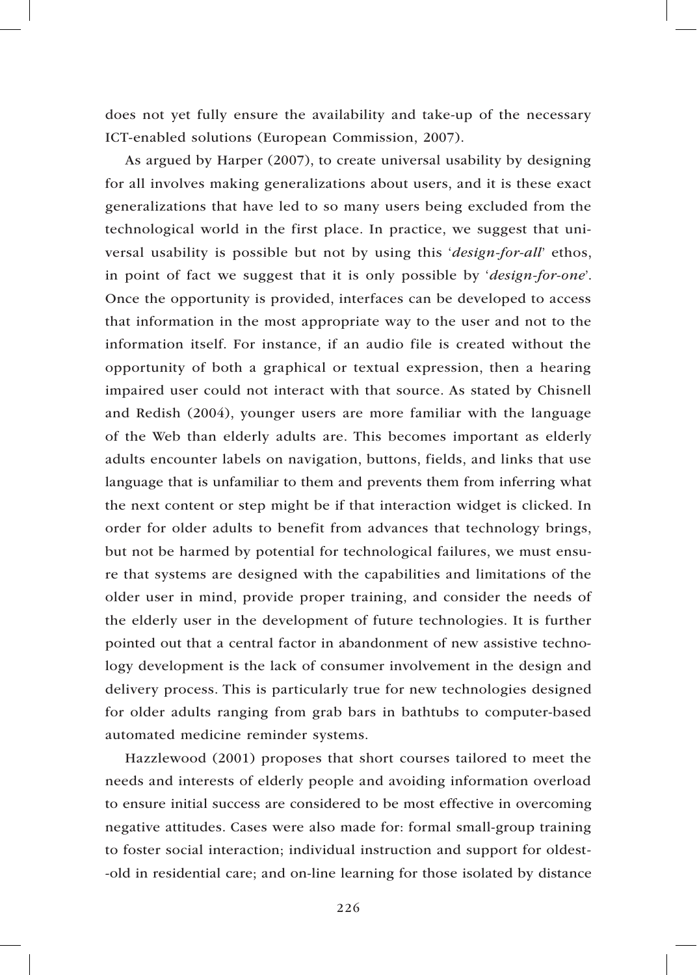does not yet fully ensure the availability and take-up of the necessary ICT-enabled solutions (European Commission, 2007).

As argued by Harper (2007), to create universal usability by designing for all involves making generalizations about users, and it is these exact generalizations that have led to so many users being excluded from the technological world in the first place. In practice, we suggest that universal usability is possible but not by using this '*design-for-all*' ethos, in point of fact we suggest that it is only possible by '*design-for-one*'. Once the opportunity is provided, interfaces can be developed to access that information in the most appropriate way to the user and not to the information itself. For instance, if an audio file is created without the opportunity of both a graphical or textual expression, then a hearing impaired user could not interact with that source. As stated by Chisnell and Redish (2004), younger users are more familiar with the language of the Web than elderly adults are. This becomes important as elderly adults encounter labels on navigation, buttons, fields, and links that use language that is unfamiliar to them and prevents them from inferring what the next content or step might be if that interaction widget is clicked. In order for older adults to benefit from advances that technology brings, but not be harmed by potential for technological failures, we must ensure that systems are designed with the capabilities and limitations of the older user in mind, provide proper training, and consider the needs of the elderly user in the development of future technologies. It is further pointed out that a central factor in abandonment of new assistive technology development is the lack of consumer involvement in the design and delivery process. This is particularly true for new technologies designed for older adults ranging from grab bars in bathtubs to computer-based automated medicine reminder systems.

Hazzlewood (2001) proposes that short courses tailored to meet the needs and interests of elderly people and avoiding information overload to ensure initial success are considered to be most effective in overcoming negative attitudes. Cases were also made for: formal small-group training to foster social interaction; individual instruction and support for oldest- -old in residential care; and on-line learning for those isolated by distance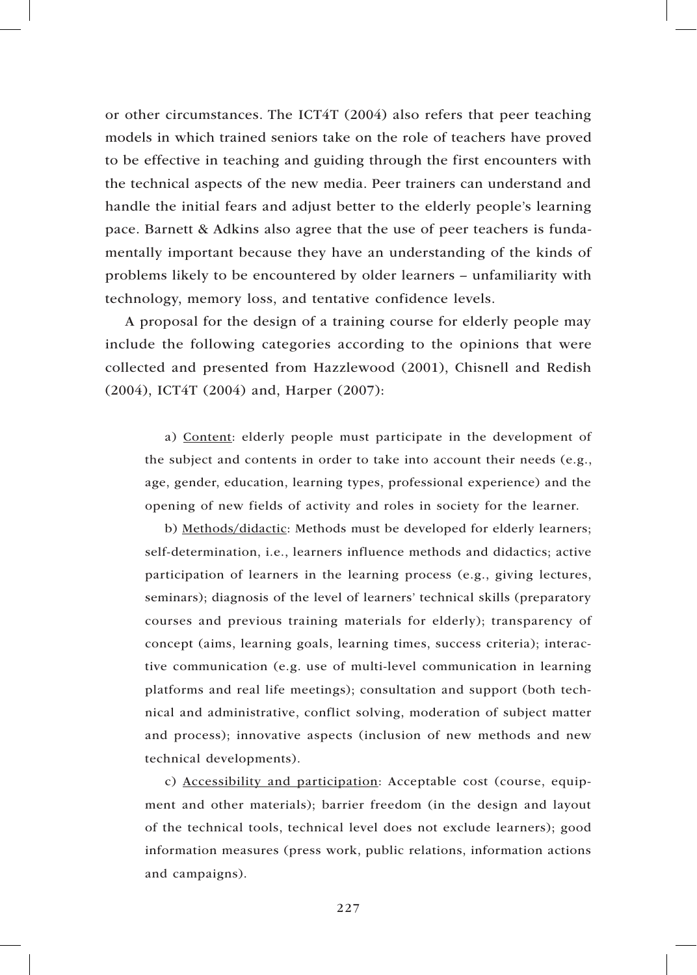or other circumstances. The ICT4T (2004) also refers that peer teaching models in which trained seniors take on the role of teachers have proved to be effective in teaching and guiding through the first encounters with the technical aspects of the new media. Peer trainers can understand and handle the initial fears and adjust better to the elderly people's learning pace. Barnett & Adkins also agree that the use of peer teachers is fundamentally important because they have an understanding of the kinds of problems likely to be encountered by older learners – unfamiliarity with technology, memory loss, and tentative confidence levels.

A proposal for the design of a training course for elderly people may include the following categories according to the opinions that were collected and presented from Hazzlewood (2001), Chisnell and Redish (2004), ICT4T (2004) and, Harper (2007):

a) Content: elderly people must participate in the development of the subject and contents in order to take into account their needs (e.g., age, gender, education, learning types, professional experience) and the opening of new fields of activity and roles in society for the learner.

b) Methods/didactic: Methods must be developed for elderly learners; self-determination, i.e., learners influence methods and didactics; active participation of learners in the learning process (e.g., giving lectures, seminars); diagnosis of the level of learners' technical skills (preparatory courses and previous training materials for elderly); transparency of concept (aims, learning goals, learning times, success criteria); interactive communication (e.g. use of multi-level communication in learning platforms and real life meetings); consultation and support (both technical and administrative, conflict solving, moderation of subject matter and process); innovative aspects (inclusion of new methods and new technical developments).

c) Accessibility and participation: Acceptable cost (course, equipment and other materials); barrier freedom (in the design and layout of the technical tools, technical level does not exclude learners); good information measures (press work, public relations, information actions and campaigns).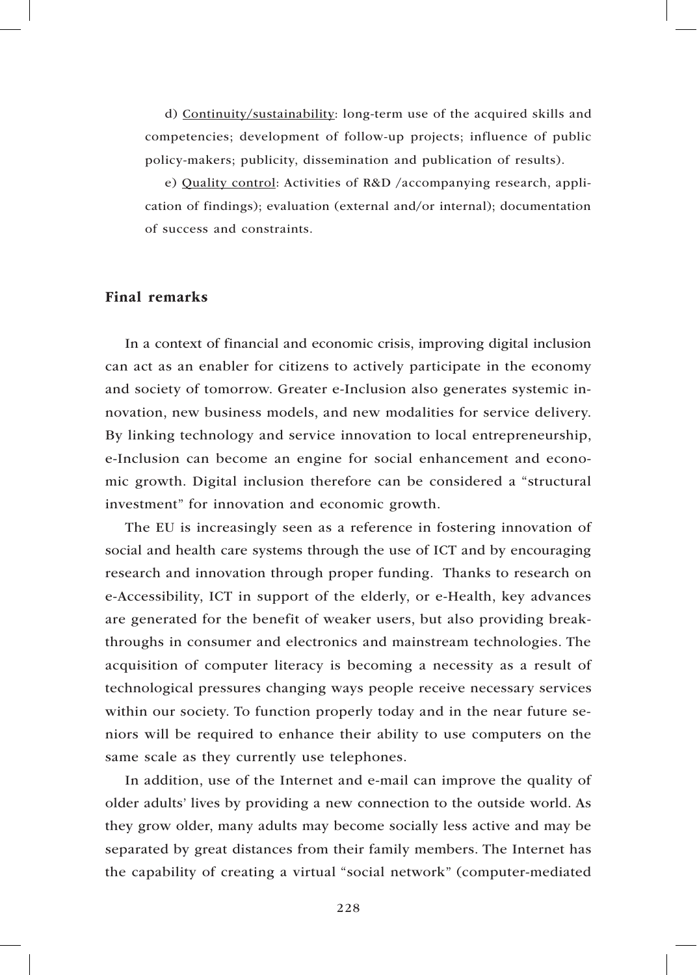d) Continuity/sustainability: long-term use of the acquired skills and competencies; development of follow-up projects; influence of public policy-makers; publicity, dissemination and publication of results).

e) Quality control: Activities of R&D /accompanying research, application of findings); evaluation (external and/or internal); documentation of success and constraints.

### Final remarks

In a context of financial and economic crisis, improving digital inclusion can act as an enabler for citizens to actively participate in the economy and society of tomorrow. Greater e-Inclusion also generates systemic innovation, new business models, and new modalities for service delivery. By linking technology and service innovation to local entrepreneurship, e-Inclusion can become an engine for social enhancement and economic growth. Digital inclusion therefore can be considered a "structural investment" for innovation and economic growth.

The EU is increasingly seen as a reference in fostering innovation of social and health care systems through the use of ICT and by encouraging research and innovation through proper funding. Thanks to research on e-Accessibility, ICT in support of the elderly, or e-Health, key advances are generated for the benefit of weaker users, but also providing breakthroughs in consumer and electronics and mainstream technologies. The acquisition of computer literacy is becoming a necessity as a result of technological pressures changing ways people receive necessary services within our society. To function properly today and in the near future seniors will be required to enhance their ability to use computers on the same scale as they currently use telephones.

In addition, use of the Internet and e-mail can improve the quality of older adults' lives by providing a new connection to the outside world. As they grow older, many adults may become socially less active and may be separated by great distances from their family members. The Internet has the capability of creating a virtual "social network" (computer-mediated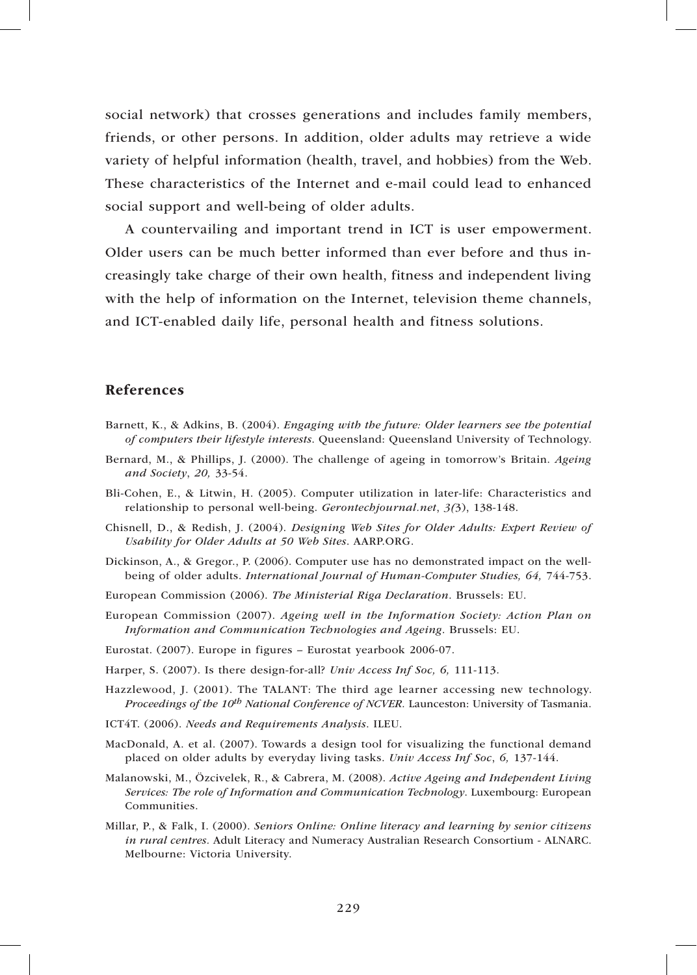social network) that crosses generations and includes family members, friends, or other persons. In addition, older adults may retrieve a wide variety of helpful information (health, travel, and hobbies) from the Web. These characteristics of the Internet and e-mail could lead to enhanced social support and well-being of older adults.

A countervailing and important trend in ICT is user empowerment. Older users can be much better informed than ever before and thus increasingly take charge of their own health, fitness and independent living with the help of information on the Internet, television theme channels, and ICT-enabled daily life, personal health and fitness solutions.

## References

- Barnett, K., & Adkins, B. (2004). *Engaging with the future: Older learners see the potential of computers their lifestyle interests*. Queensland: Queensland University of Technology.
- Bernard, M., & Phillips, J. (2000). The challenge of ageing in tomorrow's Britain. *Ageing and Society*, *20,* 33-54.
- Bli-Cohen, E., & Litwin, H. (2005). Computer utilization in later-life: Characteristics and relationship to personal well-being. *Gerontechjournal.net*, *3(*3), 138-148.
- Chisnell, D., & Redish, J. (2004). *Designing Web Sites for Older Adults: Expert Review of Usability for Older Adults at 50 Web Sites*. AARP.ORG.
- Dickinson, A., & Gregor., P. (2006). Computer use has no demonstrated impact on the wellbeing of older adults. *International Journal of Human-Computer Studies, 64,* 744-753.
- European Commission (2006). *The Ministerial Riga Declaration*. Brussels: EU.
- European Commission (2007). *Ageing well in the Information Society: Action Plan on Information and Communication Technologies and Ageing*. Brussels: EU.
- Eurostat. (2007). Europe in figures Eurostat yearbook 2006-07.
- Harper, S. (2007). Is there design-for-all? *Univ Access Inf Soc, 6,* 111-113.
- Hazzlewood, J. (2001). The TALANT: The third age learner accessing new technology. *Proceedings of the 10th National Conference of NCVER.* Launceston: University of Tasmania.
- ICT4T. (2006). *Needs and Requirements Analysis*. ILEU.
- MacDonald, A. et al. (2007). Towards a design tool for visualizing the functional demand placed on older adults by everyday living tasks. *Univ Access Inf Soc*, *6,* 137-144.
- Malanowski, M., Özcivelek, R., & Cabrera, M. (2008). *Active Ageing and Independent Living Services: The role of Information and Communication Technology*. Luxembourg: European Communities.
- Millar, P., & Falk, I. (2000). *Seniors Online: Online literacy and learning by senior citizens in rural centres.* Adult Literacy and Numeracy Australian Research Consortium - ALNARC. Melbourne: Victoria University.